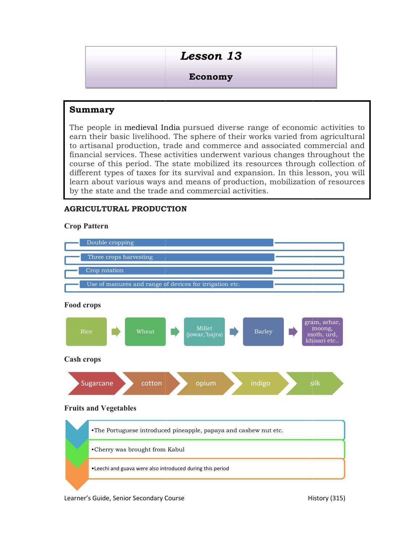# Economy

# Summary

The people in medieval India pursued diverse range of econor earn their basic livelihood. The sphere of their works varied from agricultural  $\vert$ to artisanal production, trade and commerce and associated commercial and financial services. These activities underwent various changes throughout the  $\vert$ course of this period. The state mobilized its resources through collection of different types of taxes for its survival and expansion. In this lesson, you will  $\vert$ learn about various ways and means of production, mobilization of resources  $\; \mid \;$ by the state and the trade and commercial activities. reple in medieval India pursued diverse range of economic activities to considered an analytical and an all services. These settivities independent various changes throughout the of this period. The state mobilized in rece **Economy<br>Economy<br>Economy**<br>dieval India pursued diverse range of economic<br>velihood. The sphere of their works varied from<br>action, trade and commerce and associated con<br>These activities underwent various changes through<br>taxe

## AGRICULTURAL PRODUCTION

#### Crop Pattern



Food crops



Cash crops



#### Fruits and Vegetables

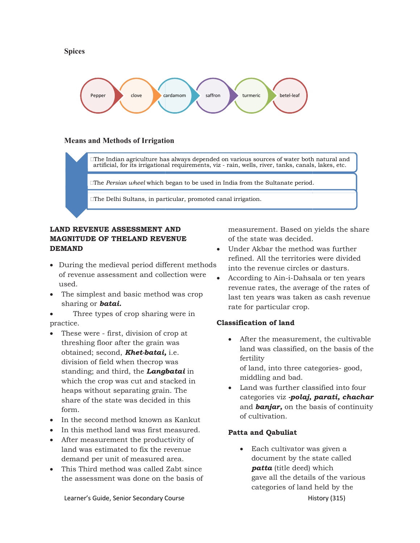



#### Means and Methods of Irrigation

The Indian agriculture has always depended on various sources of water both natural and artificial, for its irrigational requirements, viz - rain, wells, river, tanks, canals, lakes, etc.

 $\Box$ The Persian wheel which began to be used in India from the Sultanate period.  $\square$ The *Persian wheel* which began to be used in India from the Sultanate period.<br> $\square$ The Delhi Sultans, in particular, promoted canal irrigation.

# **LAND REVENUE ASSESSMENT AND** measurem<br>MAGNITUDE OF THELAND REVENUE of the stat DEMAND

- During the medieval period different methods of revenue assessment and collection wer used.
- The simplest and basic method was crop last ten years<br>
sharing or **batai.** Three types of crop sharing were in sharing or **batai.**

Three types of crop sharing were in practice.

- These were first, division of crop at These were - first, division of crop at<br>threshing floor after the grain was  $\bullet$  After obtained; second, **Khet-batai,** i.e.  $\frac{1}{2}$ division of field when thecrop was division of field when thecrop was<br>standing; and third, the **Langbatai** in  $\frac{1}{2}$  of land, which the crop was cut and stacked in<br>heaps without separating grain. The land was further classified is<br>share of the state was decided in this categories viz **-polaj, parati**, heaps without separating grain. The share of the state was decided in this form.
- In the second method known as Kankut **Example 20** Culturation
- In this method land was first measured. **Patta and O**
- After measurement the productivity of land was estimated to fix the revenue demand per unit of measured area.
- This Third method was called Zabt since **patta** the assessment was done on the basis of

**LAND REVENUE ASSESSMENT AND** measurement. Based on yields the share of the state was decided.

- Under Akbar the method method was further refined. All the territories were divided refined. All the territories were divided<br>into the revenue circles or dasturs.
- were According to Ain-i-Dahsala Dahsala or ten years revenue rates, the average of the rates of last ten years was taken as cash revenue rate for particular crop.

#### Classification of land

- **SMENT AND**<br> **EXECUTE:** The state was decided.<br>
The state of the state and content of the state and the state and the state and collection were  $\bullet$  Hotel criteriories were divided<br>
period different methods<br>
and collectio After the measurement, the cultivable land was classified, on the basis of the fertility of land, into three categories middling and bad. revenue rates, the average of the rates of<br>last ten years was taken as cash revenue<br>rate for particular crop.<br>**ssification of land**<br>• After the measurement, the cultivable<br>land was classified, on the basis of the<br>fertility More do a various sources of water both natural always depended on various sources of water both rain, wells, river, tanks, canals, lakes, et example to used in India from the Sultanate period.<br>
WIDE measurement. Based on
	- $\bullet$  Land was further classified into four categories viz -**polaj, parati, chachar** and **banjar**, on the basis of continuity of cultivation.

#### Patta and Qabuliat

History (315) document by the state called • Each cultivator was given a **patta** (title deed) which gave all the details of the various categories of land held by the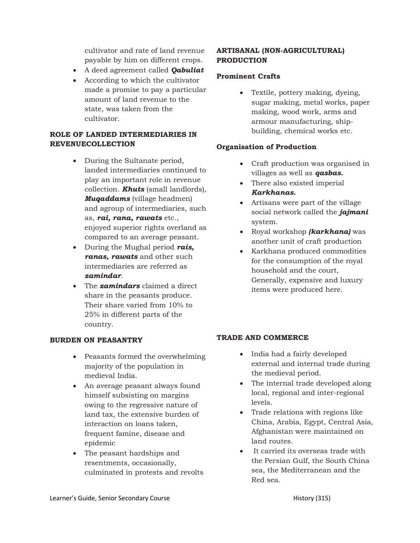cultivator and rate of land revenue payable by him on different crops.

- A deed agreement called **Oabuliat**
- According to which the cultivator made a promise to pay a particular amount of land revenue to the state, was taken from the cultivator.

### ROLE OF LANDED INTERMEDIARIES IN REVENUECOLLECTION

- During the Sultanate period, landed intermediaries continued to play an important role in revenue collection. **Khuts** (small landlords), **Muqaddams** (village headmen) and agroup of intermediaries, such as, *rai, rana, rawats* etc., enjoyed superior rights overland as compared to an average peasant.
- $\bullet$  During the Mughal period rais, ranas, rawats and other such intermediaries are referred as zamindar.
- The **zamindars** claimed a direct share in the peasants produce. Their share varied from 10% to 25% in different parts of the country.

#### BURDEN ON PEASANTRY

- Peasants formed the overwhelming majority of the population in medieval India.
- An average peasant always found himself subsisting on margins owing to the regressive nature of land tax, the extensive burden of interaction on loans taken, frequent famine, disease and epidemic
- The peasant hardships and resentments, occasionally, culminated in protests and revolts

#### ARTISANAL (NON-AGRICULTURAL) **PRODUCTION**

#### Prominent Crafts

 Textile, pottery making, dyeing, sugar making, metal works, paper making, wood work, arms and armour manufacturing, shipbuilding, chemical works etc.

#### Organisation of Production

- Craft production was organised in villages as well as **qasbas.**
- There also existed imperial Karkhanas.
- Artisans were part of the village social network called the *jajmani* system.
- Royal workshop *(karkhana)* was another unit of craft production
- Karkhana produced commodities for the consumption of the royal household and the court, Generally, expensive and luxury items were produced here.

#### TRADE AND COMMERCE

- India had a fairly developed external and internal trade during the medieval period.
- The internal trade developed along local, regional and inter-regional levels.
- Trade relations with regions like China, Arabia, Egypt, Central Asia, Afghanistan were maintained on land routes.
- It carried its overseas trade with the Persian Gulf, the South China sea, the Mediterranean and the Red sea.